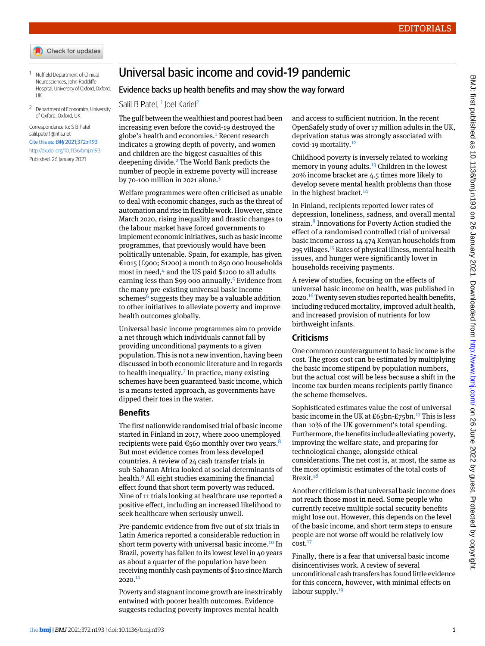- Check for updates
- <span id="page-0-0"></span><sup>1</sup> Nuffield Department of Clinical Neurosciences, John Radcliffe Hospital, University of Oxford, Oxford, UK
- <span id="page-0-1"></span><sup>2</sup> Department of Economics, University of Oxford, Oxford, UK

Correspondence to: S B Patel [salil.patel1@nhs.net](mailto:salil.patel1@nhs.net)

## Cite this as: BMJ 2021;372:n193 <http://dx.doi.org/10.1136/bmj.n193> Published: 26 January 2021

Universal basic income and covid-19 pandemic

## Evidence backs up health benefits and may show the way forward

Salil B Patel, <sup>[1](#page-0-0)</sup> Joel Kariel<sup>[2](#page-0-1)</sup>

The gulf between the wealthiest and poorest had been increasing even before the covid-19 destroyed the globe's health and economies.<sup>[1](#page-1-0)</sup> Recent research indicates a growing depth of poverty, and women and children are the biggest casualties of this deepening divide.<sup>[2](#page-1-1)</sup> The World Bank predicts the number of people in extreme poverty will increase by 70-100 million in 2021 alone. $3$ 

Welfare programmes were often criticised as unable to deal with economic changes, such as the threat of automation and rise in flexible work. However, since March 2020, rising inequality and drastic changes to the labour market have forced governments to implement economic initiatives, such as basic income programmes, that previously would have been politically untenable. Spain, for example, has given  $\epsilon$ 1015 (£900; \$1200) a month to 850 000 households most in need,<sup>[4](#page-1-3)</sup> and the US paid \$1200 to all adults earning less than \$99 000 annually.<sup>[5](#page-1-4)</sup> Evidence from the many pre-existing universal basic income schemes<sup>[6](#page-1-5)</sup> suggests they may be a valuable addition to other initiatives to alleviate poverty and improve health outcomes globally.

Universal basic income programmes aim to provide a net through which individuals cannot fall by providing unconditional payments to a given population. This is not a new invention, having been discussed in both economic literature and in regards to health inequality. $7$  In practice, many existing schemes have been guaranteed basic income, which is a means tested approach, as governments have dipped their toes in the water.

## **Benefits**

The first nationwide randomised trial of basic income started in Finland in 2017, where 2000 unemployed recipients were paid  $\epsilon$ 560 monthly over two years.<sup>[8](#page-1-7)</sup> But most evidence comes from less developed countries. A review of 24 cash transfer trials in sub-Saharan Africa looked at social determinants of health.[9](#page-1-8) All eight studies examining the financial effect found that short term poverty was reduced. Nine of 11 trials looking at healthcare use reported a positive effect, including an increased likelihood to seek healthcare when seriously unwell.

Pre-pandemic evidence from five out of six trials in Latin America reported a considerable reduction in short term poverty with universal basic income.<sup>[10](#page-1-9)</sup> In Brazil, poverty has fallen to its lowest level in 40 years as about a quarter of the population have been receiving monthly cash payments of \$110 since March  $2020.<sup>11</sup>$  $2020.<sup>11</sup>$  $2020.<sup>11</sup>$ 

Poverty and stagnant income growth are inextricably entwined with poorer health outcomes. Evidence suggests reducing poverty improves mental health

and access to sufficient nutrition. In the recent OpenSafely study of over 17 million adults in the UK, deprivation status was strongly associated with covid-19 mortality.[12](#page-1-11)

Childhood poverty is inversely related to working memory in young adults.<sup>[13](#page-1-12)</sup> Children in the lowest 20% income bracket are 4.5 times more likely to develop severe mental health problems than those in the highest bracket. $14$ 

In Finland, recipients reported lower rates of depression, loneliness, sadness, and overall mental strain.<sup>[8](#page-1-7)</sup> Innovations for Poverty Action studied the effect of a randomised controlled trial of universal basic income across 14 474 Kenyan households from 295 villages.[15](#page-1-14) Rates of physical illness, mental health issues, and hunger were significantly lower in households receiving payments.

A review of studies, focusing on the effects of universal basic income on health, was published in 2020.<sup>[16](#page-1-15)</sup> Twenty seven studies reported health benefits, including reduced mortality, improved adult health, and increased provision of nutrients for low birthweight infants.

## **Criticisms**

One common counterargument to basic income is the cost. The gross cost can be estimated by multiplying the basic income stipend by population numbers, but the actual cost will be less because a shift in the income tax burden means recipients partly finance the scheme themselves.

Sophisticated estimates value the cost of universal basic income in the UK at  $E65$ bn- $E75$ bn.<sup>[17](#page-1-16)</sup> This is less than 10% of the UK government's total spending. Furthermore, the benefits include alleviating poverty, improving the welfare state, and preparing for technological change, alongside ethical considerations. The net cost is, at most, the same as the most optimistic estimates of the total costs of Brexit.<sup>[18](#page-1-17)</sup>

Another criticism is that universal basic income does not reach those most in need. Some people who currently receive multiple social security benefits might lose out. However, this depends on the level of the basic income, and short term steps to ensure people are not worse off would be relatively low  $cost<sup>17</sup>$  $cost<sup>17</sup>$  $cost<sup>17</sup>$ 

Finally, there is a fear that universal basic income disincentivises work. A review of several unconditional cash transfers has found little evidence for this concern, however, with minimal effects on labour supply. $19$